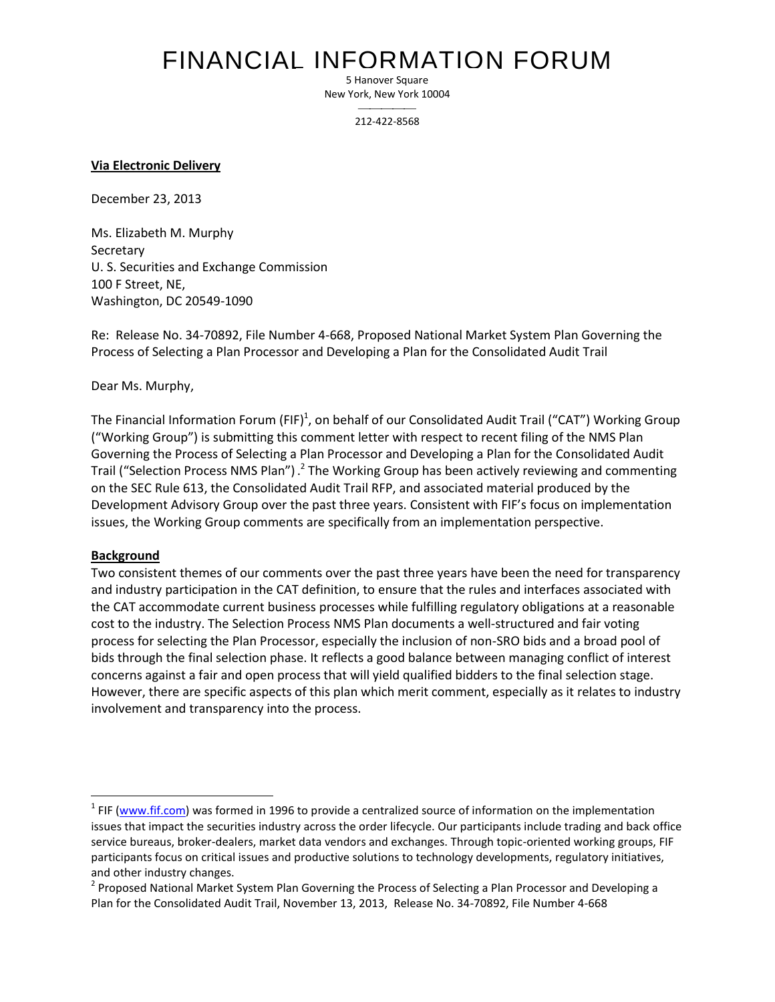# FINANCIAL INFORMATION FORUM

5 Hanover Square New York, New York 10004

> $\overline{\phantom{a}}$ 212-422-8568

**Via Electronic Delivery**

December 23, 2013

Ms. Elizabeth M. Murphy Secretary U. S. Securities and Exchange Commission 100 F Street, NE, Washington, DC 20549-1090

Re: Release No. 34-70892, File Number 4-668, Proposed National Market System Plan Governing the Process of Selecting a Plan Processor and Developing a Plan for the Consolidated Audit Trail

Dear Ms. Murphy,

The Financial Information Forum (FIF)<sup>1</sup>, on behalf of our Consolidated Audit Trail ("CAT") Working Group ("Working Group") is submitting this comment letter with respect to recent filing of the NMS Plan Governing the Process of Selecting a Plan Processor and Developing a Plan for the Consolidated Audit Trail ("Selection Process NMS Plan") .<sup>2</sup> The Working Group has been actively reviewing and commenting on the SEC Rule 613, the Consolidated Audit Trail RFP, and associated material produced by the Development Advisory Group over the past three years. Consistent with FIF's focus on implementation issues, the Working Group comments are specifically from an implementation perspective.

#### **Background**

Two consistent themes of our comments over the past three years have been the need for transparency and industry participation in the CAT definition, to ensure that the rules and interfaces associated with the CAT accommodate current business processes while fulfilling regulatory obligations at a reasonable cost to the industry. The Selection Process NMS Plan documents a well-structured and fair voting process for selecting the Plan Processor, especially the inclusion of non-SRO bids and a broad pool of bids through the final selection phase. It reflects a good balance between managing conflict of interest concerns against a fair and open process that will yield qualified bidders to the final selection stage. However, there are specific aspects of this plan which merit comment, especially as it relates to industry involvement and transparency into the process.

<sup>1&</sup>lt;br><sup>1</sup> FIF (<u>www.fif.com</u>) was formed in 1996 to provide a centralized source of information on the implementation issues that impact the securities industry across the order lifecycle. Our participants include trading and back office service bureaus, broker-dealers, market data vendors and exchanges. Through topic-oriented working groups, FIF participants focus on critical issues and productive solutions to technology developments, regulatory initiatives, and other industry changes.

<sup>&</sup>lt;sup>2</sup> Proposed National Market System Plan Governing the Process of Selecting a Plan Processor and Developing a Plan for the Consolidated Audit Trail, November 13, 2013, Release No. 34-70892, File Number 4-668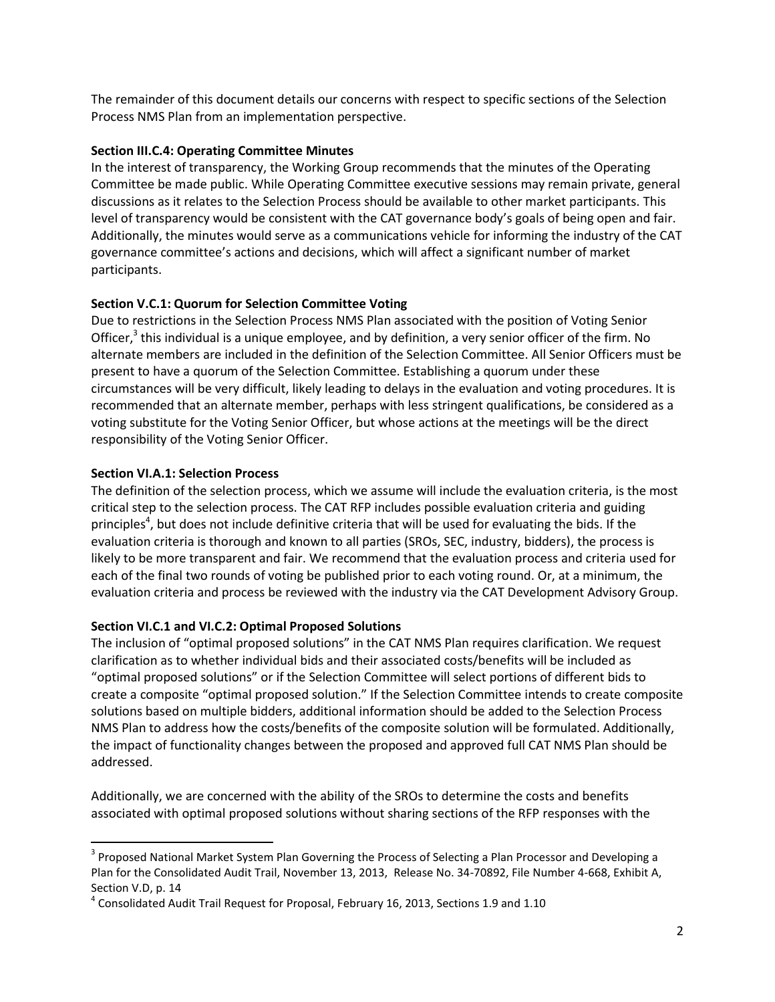The remainder of this document details our concerns with respect to specific sections of the Selection Process NMS Plan from an implementation perspective.

#### **Section III.C.4: Operating Committee Minutes**

In the interest of transparency, the Working Group recommends that the minutes of the Operating Committee be made public. While Operating Committee executive sessions may remain private, general discussions as it relates to the Selection Process should be available to other market participants. This level of transparency would be consistent with the CAT governance body's goals of being open and fair. Additionally, the minutes would serve as a communications vehicle for informing the industry of the CAT governance committee's actions and decisions, which will affect a significant number of market participants.

# **Section V.C.1: Quorum for Selection Committee Voting**

Due to restrictions in the Selection Process NMS Plan associated with the position of Voting Senior Officer,<sup>3</sup> this individual is a unique employee, and by definition, a very senior officer of the firm. No alternate members are included in the definition of the Selection Committee. All Senior Officers must be present to have a quorum of the Selection Committee. Establishing a quorum under these circumstances will be very difficult, likely leading to delays in the evaluation and voting procedures. It is recommended that an alternate member, perhaps with less stringent qualifications, be considered as a voting substitute for the Voting Senior Officer, but whose actions at the meetings will be the direct responsibility of the Voting Senior Officer.

### **Section VI.A.1: Selection Process**

 $\overline{a}$ 

The definition of the selection process, which we assume will include the evaluation criteria, is the most critical step to the selection process. The CAT RFP includes possible evaluation criteria and guiding principles<sup>4</sup>, but does not include definitive criteria that will be used for evaluating the bids. If the evaluation criteria is thorough and known to all parties (SROs, SEC, industry, bidders), the process is likely to be more transparent and fair. We recommend that the evaluation process and criteria used for each of the final two rounds of voting be published prior to each voting round. Or, at a minimum, the evaluation criteria and process be reviewed with the industry via the CAT Development Advisory Group.

# **Section VI.C.1 and VI.C.2: Optimal Proposed Solutions**

The inclusion of "optimal proposed solutions" in the CAT NMS Plan requires clarification. We request clarification as to whether individual bids and their associated costs/benefits will be included as "optimal proposed solutions" or if the Selection Committee will select portions of different bids to create a composite "optimal proposed solution." If the Selection Committee intends to create composite solutions based on multiple bidders, additional information should be added to the Selection Process NMS Plan to address how the costs/benefits of the composite solution will be formulated. Additionally, the impact of functionality changes between the proposed and approved full CAT NMS Plan should be addressed.

Additionally, we are concerned with the ability of the SROs to determine the costs and benefits associated with optimal proposed solutions without sharing sections of the RFP responses with the

<sup>&</sup>lt;sup>3</sup> Proposed National Market System Plan Governing the Process of Selecting a Plan Processor and Developing a Plan for the Consolidated Audit Trail, November 13, 2013, Release No. 34-70892, File Number 4-668, Exhibit A, Section V.D, p. 14

 $^4$  Consolidated Audit Trail Request for Proposal, February 16, 2013, Sections 1.9 and 1.10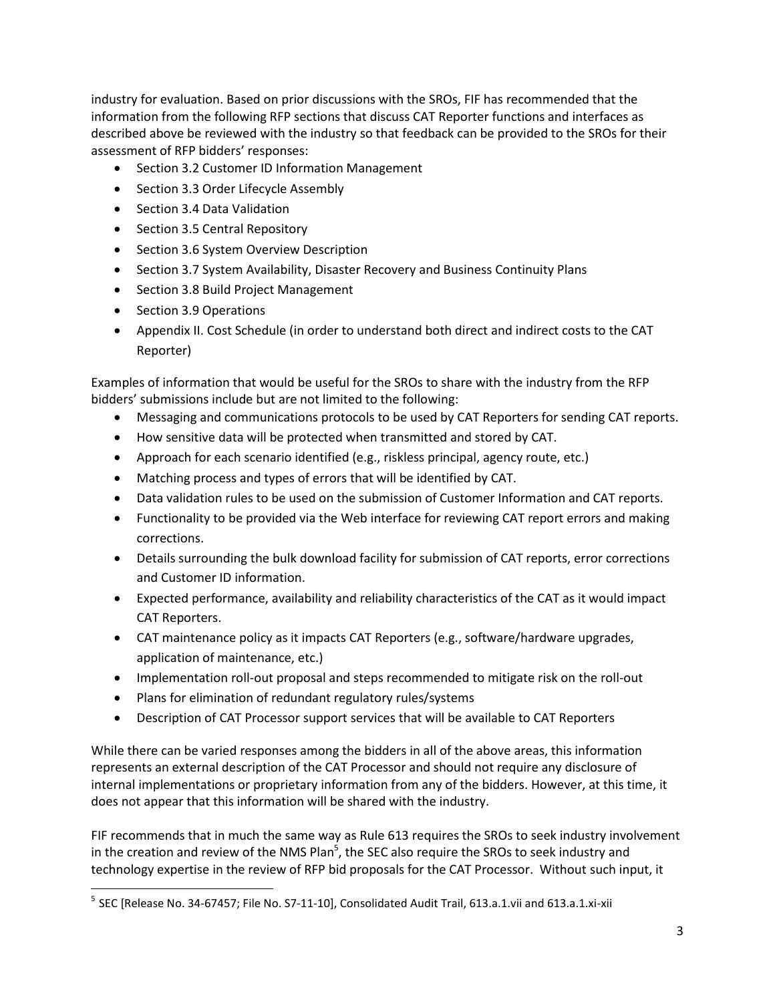industry for evaluation. Based on prior discussions with the SROs, FIF has recommended that the information from the following RFP sections that discuss CAT Reporter functions and interfaces as described above be reviewed with the industry so that feedback can be provided to the SROs for their assessment of RFP bidders' responses:

- Section 3.2 Customer ID Information Management
- Section 3.3 Order Lifecycle Assembly
- Section 3.4 Data Validation
- Section 3.5 Central Repository
- Section 3.6 System Overview Description
- Section 3.7 System Availability, Disaster Recovery and Business Continuity Plans
- Section 3.8 Build Project Management
- Section 3.9 Operations

 $\overline{\phantom{a}}$ 

 Appendix II. Cost Schedule (in order to understand both direct and indirect costs to the CAT Reporter)

Examples of information that would be useful for the SROs to share with the industry from the RFP bidders' submissions include but are not limited to the following:

- Messaging and communications protocols to be used by CAT Reporters for sending CAT reports.
- How sensitive data will be protected when transmitted and stored by CAT.
- Approach for each scenario identified (e.g., riskless principal, agency route, etc.)
- Matching process and types of errors that will be identified by CAT.
- Data validation rules to be used on the submission of Customer Information and CAT reports.
- Functionality to be provided via the Web interface for reviewing CAT report errors and making corrections.
- Details surrounding the bulk download facility for submission of CAT reports, error corrections and Customer ID information.
- Expected performance, availability and reliability characteristics of the CAT as it would impact CAT Reporters.
- CAT maintenance policy as it impacts CAT Reporters (e.g., software/hardware upgrades, application of maintenance, etc.)
- Implementation roll-out proposal and steps recommended to mitigate risk on the roll-out
- Plans for elimination of redundant regulatory rules/systems
- Description of CAT Processor support services that will be available to CAT Reporters

While there can be varied responses among the bidders in all of the above areas, this information represents an external description of the CAT Processor and should not require any disclosure of internal implementations or proprietary information from any of the bidders. However, at this time, it does not appear that this information will be shared with the industry.

FIF recommends that in much the same way as Rule 613 requires the SROs to seek industry involvement in the creation and review of the NMS Plan<sup>5</sup>, the SEC also require the SROs to seek industry and technology expertise in the review of RFP bid proposals for the CAT Processor. Without such input, it

 $^5$  SEC [Release No. 34-67457; File No. S7-11-10], Consolidated Audit Trail, 613.a.1.vii and 613.a.1.xi-xii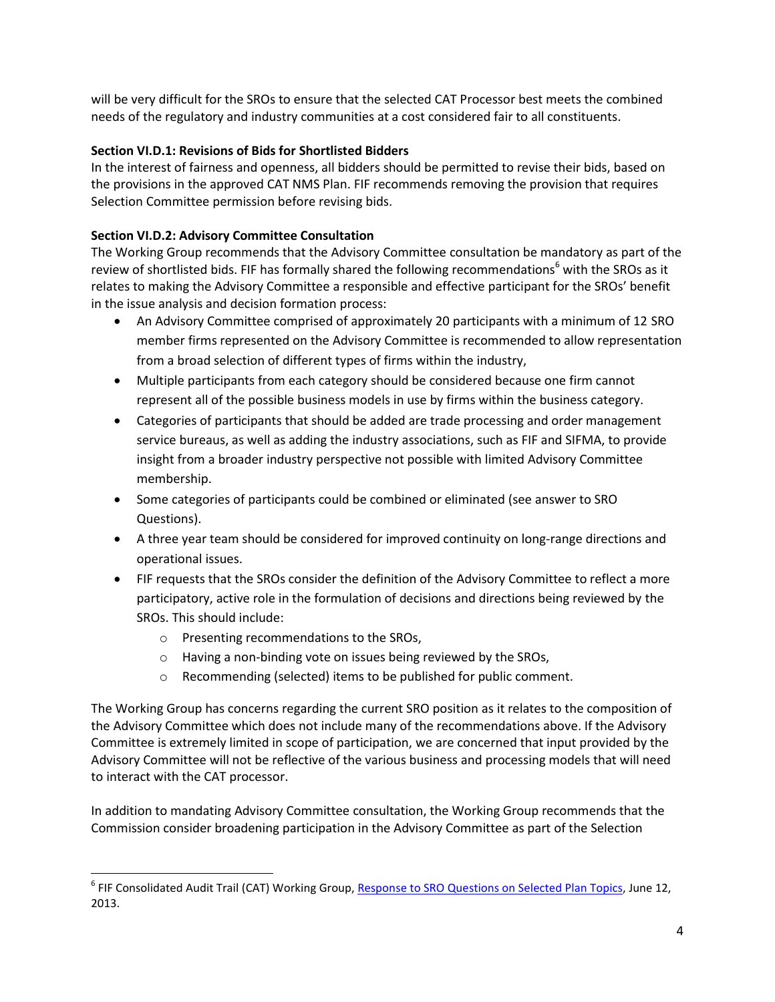will be very difficult for the SROs to ensure that the selected CAT Processor best meets the combined needs of the regulatory and industry communities at a cost considered fair to all constituents.

## **Section VI.D.1: Revisions of Bids for Shortlisted Bidders**

In the interest of fairness and openness, all bidders should be permitted to revise their bids, based on the provisions in the approved CAT NMS Plan. FIF recommends removing the provision that requires Selection Committee permission before revising bids.

# **Section VI.D.2: Advisory Committee Consultation**

The Working Group recommends that the Advisory Committee consultation be mandatory as part of the review of shortlisted bids. FIF has formally shared the following recommendations<sup>6</sup> with the SROs as it relates to making the Advisory Committee a responsible and effective participant for the SROs' benefit in the issue analysis and decision formation process:

- An Advisory Committee comprised of approximately 20 participants with a minimum of 12 SRO member firms represented on the Advisory Committee is recommended to allow representation from a broad selection of different types of firms within the industry,
- Multiple participants from each category should be considered because one firm cannot represent all of the possible business models in use by firms within the business category.
- Categories of participants that should be added are trade processing and order management service bureaus, as well as adding the industry associations, such as FIF and SIFMA, to provide insight from a broader industry perspective not possible with limited Advisory Committee membership.
- Some categories of participants could be combined or eliminated (see answer to SRO Questions).
- A three year team should be considered for improved continuity on long-range directions and operational issues.
- FIF requests that the SROs consider the definition of the Advisory Committee to reflect a more participatory, active role in the formulation of decisions and directions being reviewed by the SROs. This should include:
	- o Presenting recommendations to the SROs,

l

- o Having a non-binding vote on issues being reviewed by the SROs,
- o Recommending (selected) items to be published for public comment.

The Working Group has concerns regarding the current SRO position as it relates to the composition of the Advisory Committee which does not include many of the recommendations above. If the Advisory Committee is extremely limited in scope of participation, we are concerned that input provided by the Advisory Committee will not be reflective of the various business and processing models that will need to interact with the CAT processor.

In addition to mandating Advisory Committee consultation, the Working Group recommends that the Commission consider broadening participation in the Advisory Committee as part of the Selection

<sup>&</sup>lt;sup>6</sup> FIF Consolidated Audit Trail (CAT) Working Group, <u>Response to SRO Questions on Selected Plan Topics</u>, June 12, 2013.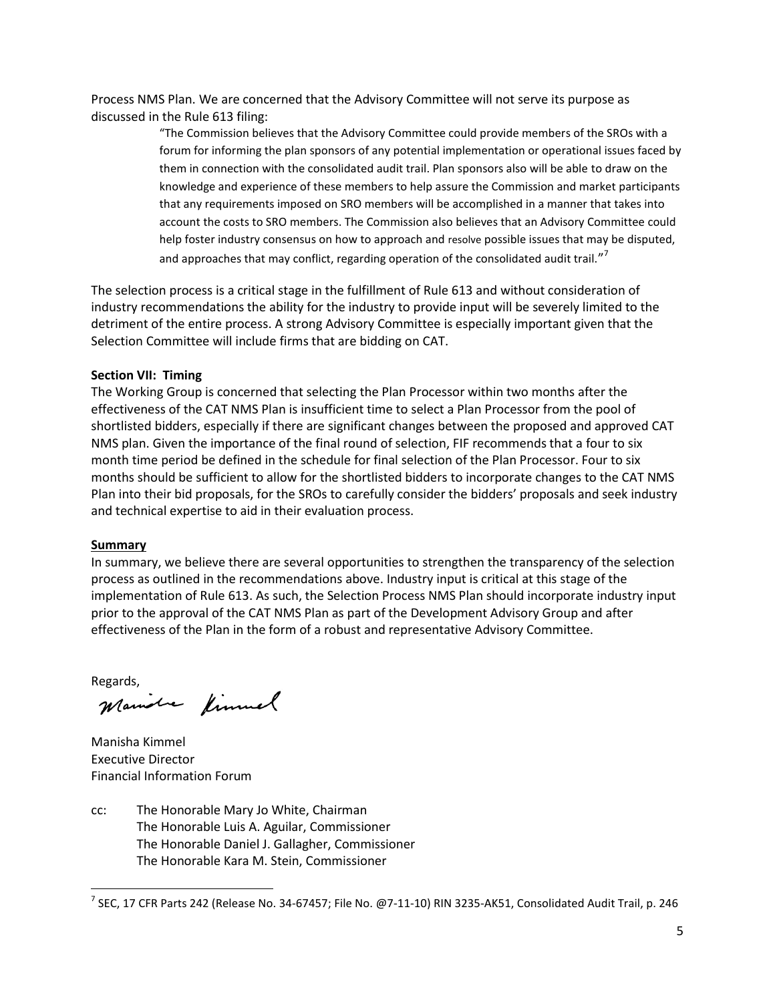Process NMS Plan. We are concerned that the Advisory Committee will not serve its purpose as discussed in the Rule 613 filing:

> "The Commission believes that the Advisory Committee could provide members of the SROs with a forum for informing the plan sponsors of any potential implementation or operational issues faced by them in connection with the consolidated audit trail. Plan sponsors also will be able to draw on the knowledge and experience of these members to help assure the Commission and market participants that any requirements imposed on SRO members will be accomplished in a manner that takes into account the costs to SRO members. The Commission also believes that an Advisory Committee could help foster industry consensus on how to approach and resolve possible issues that may be disputed, and approaches that may conflict, regarding operation of the consolidated audit trail."<sup>7</sup>

The selection process is a critical stage in the fulfillment of Rule 613 and without consideration of industry recommendations the ability for the industry to provide input will be severely limited to the detriment of the entire process. A strong Advisory Committee is especially important given that the Selection Committee will include firms that are bidding on CAT.

#### **Section VII: Timing**

The Working Group is concerned that selecting the Plan Processor within two months after the effectiveness of the CAT NMS Plan is insufficient time to select a Plan Processor from the pool of shortlisted bidders, especially if there are significant changes between the proposed and approved CAT NMS plan. Given the importance of the final round of selection, FIF recommends that a four to six month time period be defined in the schedule for final selection of the Plan Processor. Four to six months should be sufficient to allow for the shortlisted bidders to incorporate changes to the CAT NMS Plan into their bid proposals, for the SROs to carefully consider the bidders' proposals and seek industry and technical expertise to aid in their evaluation process.

#### **Summary**

In summary, we believe there are several opportunities to strengthen the transparency of the selection process as outlined in the recommendations above. Industry input is critical at this stage of the implementation of Rule 613. As such, the Selection Process NMS Plan should incorporate industry input prior to the approval of the CAT NMS Plan as part of the Development Advisory Group and after effectiveness of the Plan in the form of a robust and representative Advisory Committee.

 $\overline{\phantom{a}}$ 

Regards,<br>Mamobe fimmel

Manisha Kimmel Executive Director Financial Information Forum

cc: The Honorable Mary Jo White, Chairman The Honorable Luis A. Aguilar, Commissioner The Honorable Daniel J. Gallagher, Commissioner The Honorable Kara M. Stein, Commissioner

 $^7$  SEC, 17 CFR Parts 242 (Release No. 34-67457; File No. @7-11-10) RIN 3235-AK51, Consolidated Audit Trail, p. 246